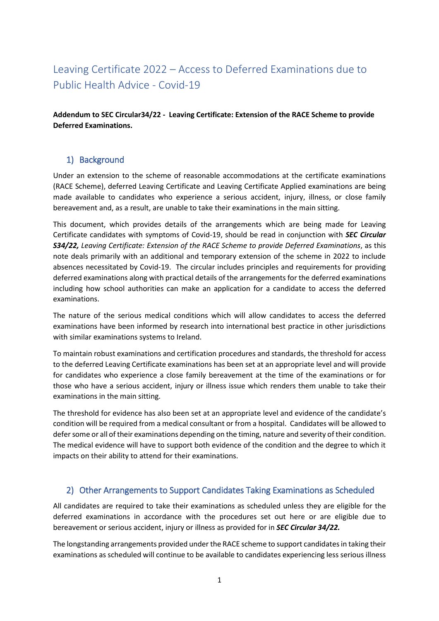# Leaving Certificate 2022 – Access to Deferred Examinations due to Public Health Advice - Covid-19

#### **Addendum to SEC Circular34/22 - Leaving Certificate: Extension of the RACE Scheme to provide Deferred Examinations.**

# 1) Background

Under an extension to the scheme of reasonable accommodations at the certificate examinations (RACE Scheme), deferred Leaving Certificate and Leaving Certificate Applied examinations are being made available to candidates who experience a serious accident, injury, illness, or close family bereavement and, as a result, are unable to take their examinations in the main sitting.

This document, which provides details of the arrangements which are being made for Leaving Certificate candidates with symptoms of Covid-19, should be read in conjunction with *SEC Circular S34/22, Leaving Certificate: Extension of the RACE Scheme to provide Deferred Examinations*, as this note deals primarily with an additional and temporary extension of the scheme in 2022 to include absences necessitated by Covid-19.The circular includes principles and requirements for providing deferred examinations along with practical details of the arrangements for the deferred examinations including how school authorities can make an application for a candidate to access the deferred examinations.

The nature of the serious medical conditions which will allow candidates to access the deferred examinations have been informed by research into international best practice in other jurisdictions with similar examinations systems to Ireland.

To maintain robust examinations and certification procedures and standards, the threshold for access to the deferred Leaving Certificate examinations has been set at an appropriate level and will provide for candidates who experience a close family bereavement at the time of the examinations or for those who have a serious accident, injury or illness issue which renders them unable to take their examinations in the main sitting.

The threshold for evidence has also been set at an appropriate level and evidence of the candidate's condition will be required from a medical consultant or from a hospital. Candidates will be allowed to defer some or all of their examinations depending on the timing, nature and severity of their condition. The medical evidence will have to support both evidence of the condition and the degree to which it impacts on their ability to attend for their examinations.

# 2) Other Arrangements to Support Candidates Taking Examinations as Scheduled

All candidates are required to take their examinations as scheduled unless they are eligible for the deferred examinations in accordance with the procedures set out here or are eligible due to bereavement or serious accident, injury or illness as provided for in *SEC Circular 34/22.*

The longstanding arrangements provided under the RACE scheme to support candidates in taking their examinations as scheduled will continue to be available to candidates experiencing less serious illness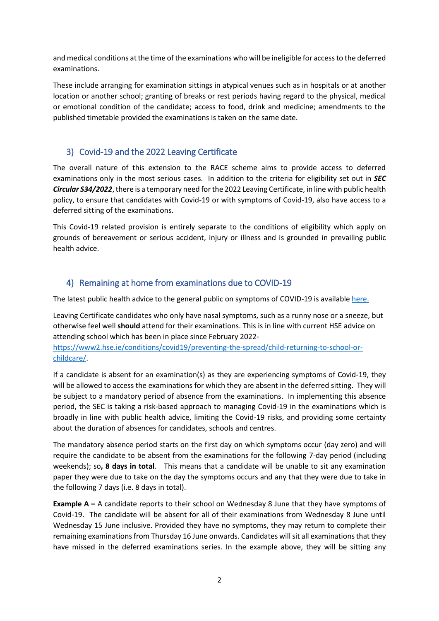and medical conditions at the time of the examinations who will be ineligible for access to the deferred examinations.

These include arranging for examination sittings in atypical venues such as in hospitals or at another location or another school; granting of breaks or rest periods having regard to the physical, medical or emotional condition of the candidate; access to food, drink and medicine; amendments to the published timetable provided the examinations is taken on the same date.

## 3) Covid-19 and the 2022 Leaving Certificate

The overall nature of this extension to the RACE scheme aims to provide access to deferred examinations only in the most serious cases. In addition to the criteria for eligibility set out in *SEC Circular S34/2022*, there is a temporary need for the 2022 Leaving Certificate, in line with public health policy, to ensure that candidates with Covid-19 or with symptoms of Covid-19, also have access to a deferred sitting of the examinations.

This Covid-19 related provision is entirely separate to the conditions of eligibility which apply on grounds of bereavement or serious accident, injury or illness and is grounded in prevailing public health advice.

## 4) Remaining at home from examinations due to COVID-19

The latest public health advice to the general public on symptoms of COVID-19 is available [here.](https://www2.hse.ie/conditions/covid19/symptoms/overview/)

Leaving Certificate candidates who only have nasal symptoms, such as a runny nose or a sneeze, but otherwise feel well **should** attend for their examinations. This is in line with current HSE advice on attending school which has been in place since February 2022-

[https://www2.hse.ie/conditions/covid19/preventing-the-spread/child-returning-to-school-or](https://www2.hse.ie/conditions/covid19/preventing-the-spread/child-returning-to-school-or-childcare/)[childcare/.](https://www2.hse.ie/conditions/covid19/preventing-the-spread/child-returning-to-school-or-childcare/)

If a candidate is absent for an examination(s) as they are experiencing symptoms of Covid-19, they will be allowed to access the examinations for which they are absent in the deferred sitting. They will be subject to a mandatory period of absence from the examinations. In implementing this absence period, the SEC is taking a risk-based approach to managing Covid-19 in the examinations which is broadly in line with public health advice, limiting the Covid-19 risks, and providing some certainty about the duration of absences for candidates, schools and centres.

The mandatory absence period starts on the first day on which symptoms occur (day zero) and will require the candidate to be absent from the examinations for the following 7-day period (including weekends); so**, 8 days in total**. This means that a candidate will be unable to sit any examination paper they were due to take on the day the symptoms occurs and any that they were due to take in the following 7 days (i.e. 8 days in total).

**Example A –** A candidate reports to their school on Wednesday 8 June that they have symptoms of Covid-19. The candidate will be absent for all of their examinations from Wednesday 8 June until Wednesday 15 June inclusive. Provided they have no symptoms, they may return to complete their remaining examinations from Thursday 16 June onwards. Candidates will sit all examinations that they have missed in the deferred examinations series. In the example above, they will be sitting any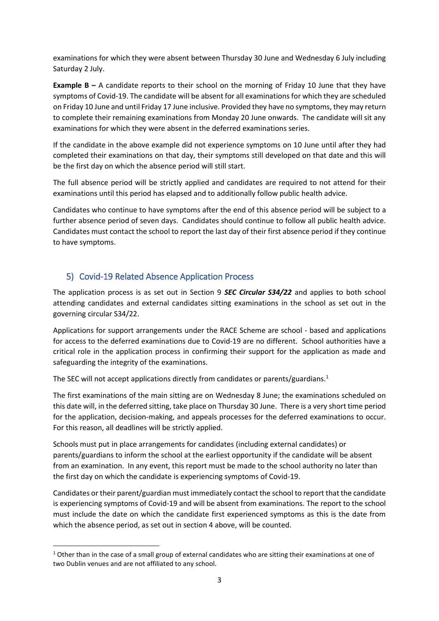examinations for which they were absent between Thursday 30 June and Wednesday 6 July including Saturday 2 July.

**Example B –** A candidate reports to their school on the morning of Friday 10 June that they have symptoms of Covid-19. The candidate will be absent for all examinations for which they are scheduled on Friday 10 June and until Friday 17 June inclusive. Provided they have no symptoms, they may return to complete their remaining examinations from Monday 20 June onwards. The candidate will sit any examinations for which they were absent in the deferred examinations series.

If the candidate in the above example did not experience symptoms on 10 June until after they had completed their examinations on that day, their symptoms still developed on that date and this will be the first day on which the absence period will still start.

The full absence period will be strictly applied and candidates are required to not attend for their examinations until this period has elapsed and to additionally follow public health advice.

Candidates who continue to have symptoms after the end of this absence period will be subject to a further absence period of seven days. Candidates should continue to follow all public health advice. Candidates must contact the school to report the last day of their first absence period if they continue to have symptoms.

## 5) Covid-19 Related Absence Application Process

1

The application process is as set out in Section 9 *SEC Circular S34/22* and applies to both school attending candidates and external candidates sitting examinations in the school as set out in the governing circular S34/22.

Applications for support arrangements under the RACE Scheme are school - based and applications for access to the deferred examinations due to Covid-19 are no different. School authorities have a critical role in the application process in confirming their support for the application as made and safeguarding the integrity of the examinations.

The SEC will not accept applications directly from candidates or parents/guardians.<sup>1</sup>

The first examinations of the main sitting are on Wednesday 8 June; the examinations scheduled on this date will, in the deferred sitting, take place on Thursday 30 June. There is a very short time period for the application, decision-making, and appeals processes for the deferred examinations to occur. For this reason, all deadlines will be strictly applied.

Schools must put in place arrangements for candidates (including external candidates) or parents/guardians to inform the school at the earliest opportunity if the candidate will be absent from an examination. In any event, this report must be made to the school authority no later than the first day on which the candidate is experiencing symptoms of Covid-19.

Candidates or their parent/guardian must immediately contact the school to report that the candidate is experiencing symptoms of Covid-19 and will be absent from examinations. The report to the school must include the date on which the candidate first experienced symptoms as this is the date from which the absence period, as set out in section 4 above, will be counted.

 $1$  Other than in the case of a small group of external candidates who are sitting their examinations at one of two Dublin venues and are not affiliated to any school.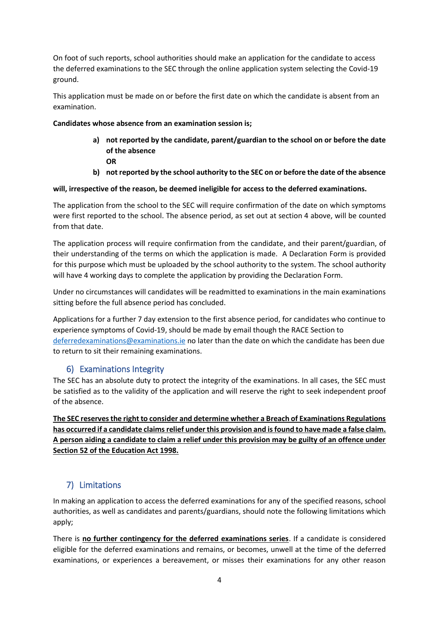On foot of such reports, school authorities should make an application for the candidate to access the deferred examinations to the SEC through the online application system selecting the Covid-19 ground.

This application must be made on or before the first date on which the candidate is absent from an examination.

#### **Candidates whose absence from an examination session is;**

- **a) not reported by the candidate, parent/guardian to the school on or before the date of the absence** 
	- **OR**
- **b) not reported by the school authority to the SEC on or before the date of the absence**

#### **will, irrespective of the reason, be deemed ineligible for access to the deferred examinations.**

The application from the school to the SEC will require confirmation of the date on which symptoms were first reported to the school. The absence period, as set out at section 4 above, will be counted from that date.

The application process will require confirmation from the candidate, and their parent/guardian, of their understanding of the terms on which the application is made. A Declaration Form is provided for this purpose which must be uploaded by the school authority to the system. The school authority will have 4 working days to complete the application by providing the Declaration Form.

Under no circumstances will candidates will be readmitted to examinations in the main examinations sitting before the full absence period has concluded.

Applications for a further 7 day extension to the first absence period, for candidates who continue to experience symptoms of Covid-19, should be made by email though the RACE Section to [deferredexaminations@examinations.ie](mailto:deferredexaminations@examinations.ie) no later than the date on which the candidate has been due to return to sit their remaining examinations.

### 6) Examinations Integrity

The SEC has an absolute duty to protect the integrity of the examinations. In all cases, the SEC must be satisfied as to the validity of the application and will reserve the right to seek independent proof of the absence.

**The SEC reserves the right to consider and determine whether a Breach of Examinations Regulations has occurred if a candidate claims relief under this provision and is found to have made a false claim. A person aiding a candidate to claim a relief under this provision may be guilty of an offence under Section 52 of the Education Act 1998.** 

# 7) Limitations

In making an application to access the deferred examinations for any of the specified reasons, school authorities, as well as candidates and parents/guardians, should note the following limitations which apply;

There is **no further contingency for the deferred examinations series**. If a candidate is considered eligible for the deferred examinations and remains, or becomes, unwell at the time of the deferred examinations, or experiences a bereavement, or misses their examinations for any other reason